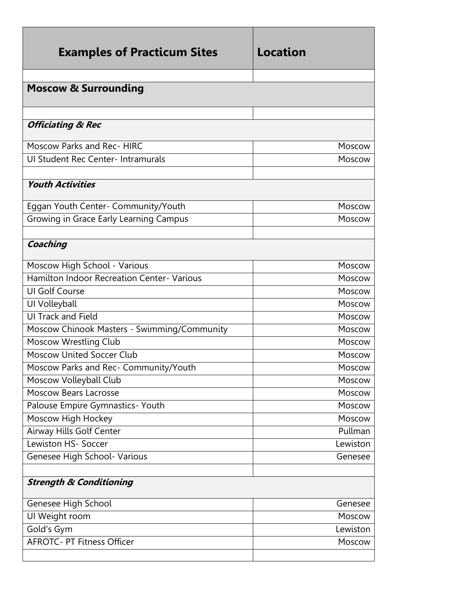| <b>Examples of Practicum Sites</b>          | Location |
|---------------------------------------------|----------|
| <b>Moscow &amp; Surrounding</b>             |          |
|                                             |          |
| <b>Officiating &amp; Rec</b>                |          |
| Moscow Parks and Rec- HIRC                  | Moscow   |
| UI Student Rec Center- Intramurals          | Moscow   |
|                                             |          |
| <b>Youth Activities</b>                     |          |
| Eggan Youth Center- Community/Youth         | Moscow   |
| Growing in Grace Early Learning Campus      | Moscow   |
|                                             |          |
| Coaching                                    |          |
| Moscow High School - Various                | Moscow   |
| Hamilton Indoor Recreation Center-Various   | Moscow   |
| <b>UI Golf Course</b>                       | Moscow   |
| UI Volleyball                               | Moscow   |
| UI Track and Field                          | Moscow   |
| Moscow Chinook Masters - Swimming/Community | Moscow   |
| <b>Moscow Wrestling Club</b>                | Moscow   |
| <b>Moscow United Soccer Club</b>            | Moscow   |
| Moscow Parks and Rec- Community/Youth       | Moscow   |
| Moscow Volleyball Club                      | Moscow   |
| <b>Moscow Bears Lacrosse</b>                | Moscow   |
| Palouse Empire Gymnastics- Youth            | Moscow   |
| Moscow High Hockey                          | Moscow   |
| Airway Hills Golf Center                    | Pullman  |
| Lewiston HS- Soccer                         | Lewiston |
| Genesee High School- Various                | Genesee  |
|                                             |          |
| <b>Strength &amp; Conditioning</b>          |          |
| Genesee High School                         | Genesee  |
| UI Weight room                              | Moscow   |
| Gold's Gym                                  | Lewiston |
| <b>AFROTC- PT Fitness Officer</b>           | Moscow   |
|                                             |          |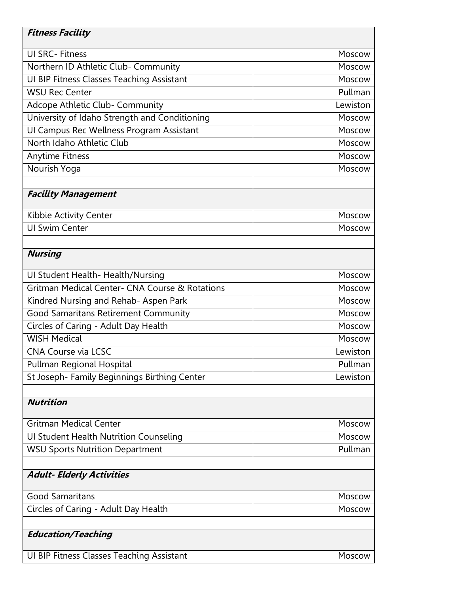| <b>Fitness Facility</b>                        |          |
|------------------------------------------------|----------|
| <b>UI SRC-Fitness</b>                          | Moscow   |
| Northern ID Athletic Club- Community           | Moscow   |
| UI BIP Fitness Classes Teaching Assistant      | Moscow   |
| <b>WSU Rec Center</b>                          | Pullman  |
| Adcope Athletic Club- Community                | Lewiston |
| University of Idaho Strength and Conditioning  | Moscow   |
| UI Campus Rec Wellness Program Assistant       | Moscow   |
| North Idaho Athletic Club                      | Moscow   |
| Anytime Fitness                                | Moscow   |
| Nourish Yoga                                   | Moscow   |
|                                                |          |
| <b>Facility Management</b>                     |          |
| Kibbie Activity Center                         | Moscow   |
| <b>UI Swim Center</b>                          | Moscow   |
|                                                |          |
| <b>Nursing</b>                                 |          |
| UI Student Health- Health/Nursing              | Moscow   |
| Gritman Medical Center- CNA Course & Rotations | Moscow   |
| Kindred Nursing and Rehab- Aspen Park          | Moscow   |
| Good Samaritans Retirement Community           | Moscow   |
| Circles of Caring - Adult Day Health           | Moscow   |
| <b>WISH Medical</b>                            | Moscow   |
| CNA Course via LCSC                            | Lewiston |
| Pullman Regional Hospital                      | Pullman  |
| St Joseph- Family Beginnings Birthing Center   | Lewiston |
|                                                |          |
| <b>Nutrition</b>                               |          |
| <b>Gritman Medical Center</b>                  | Moscow   |
| <b>UI Student Health Nutrition Counseling</b>  | Moscow   |
| <b>WSU Sports Nutrition Department</b>         | Pullman  |
|                                                |          |
| <b>Adult- Elderly Activities</b>               |          |
| <b>Good Samaritans</b>                         | Moscow   |
| Circles of Caring - Adult Day Health           | Moscow   |
|                                                |          |
| <b>Education/Teaching</b>                      |          |
| UI BIP Fitness Classes Teaching Assistant      | Moscow   |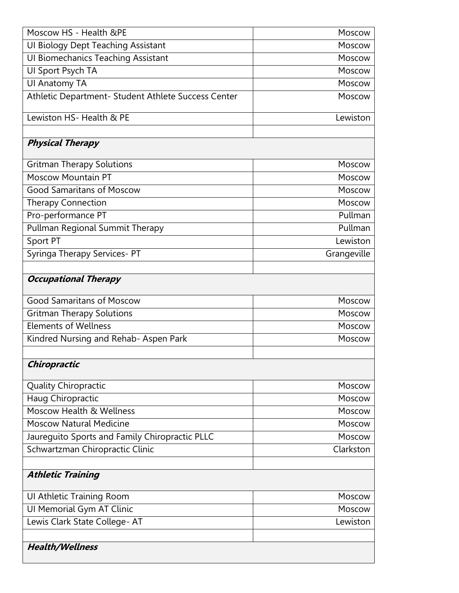| Moscow HS - Health &PE                              | Moscow      |
|-----------------------------------------------------|-------------|
| <b>UI Biology Dept Teaching Assistant</b>           | Moscow      |
| <b>UI Biomechanics Teaching Assistant</b>           | Moscow      |
| UI Sport Psych TA                                   | Moscow      |
| UI Anatomy TA                                       | Moscow      |
| Athletic Department- Student Athlete Success Center | Moscow      |
| Lewiston HS- Health & PE                            | Lewiston    |
| <b>Physical Therapy</b>                             |             |
| <b>Gritman Therapy Solutions</b>                    | Moscow      |
| <b>Moscow Mountain PT</b>                           | Moscow      |
| <b>Good Samaritans of Moscow</b>                    | Moscow      |
| <b>Therapy Connection</b>                           | Moscow      |
| Pro-performance PT                                  | Pullman     |
| Pullman Regional Summit Therapy                     | Pullman     |
| Sport PT                                            | Lewiston    |
| Syringa Therapy Services- PT                        | Grangeville |
|                                                     |             |
| <b>Occupational Therapy</b>                         |             |
| <b>Good Samaritans of Moscow</b>                    | Moscow      |
| <b>Gritman Therapy Solutions</b>                    | Moscow      |
| <b>Elements of Wellness</b>                         | Moscow      |
| Kindred Nursing and Rehab- Aspen Park               | Moscow      |
|                                                     |             |
| Chiropractic                                        |             |
| <b>Quality Chiropractic</b>                         | Moscow      |
| Haug Chiropractic                                   | Moscow      |
| Moscow Health & Wellness                            | Moscow      |
| <b>Moscow Natural Medicine</b>                      | Moscow      |
| Jaureguito Sports and Family Chiropractic PLLC      | Moscow      |
| Schwartzman Chiropractic Clinic                     | Clarkston   |
|                                                     |             |
| <b>Athletic Training</b>                            |             |
| UI Athletic Training Room                           | Moscow      |
| UI Memorial Gym AT Clinic                           | Moscow      |
| Lewis Clark State College-AT                        | Lewiston    |
|                                                     |             |
| <b>Health/Wellness</b>                              |             |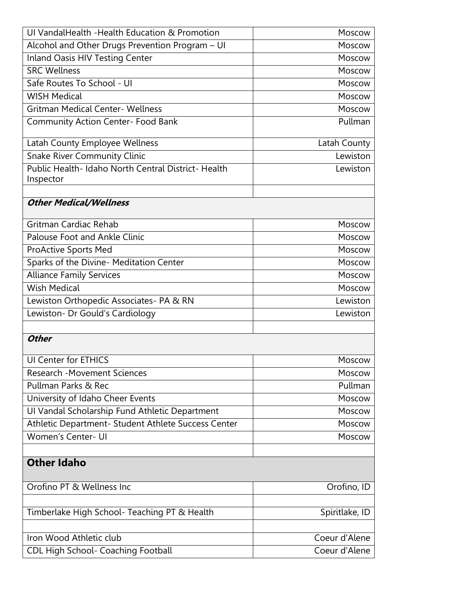| UI VandalHealth -Health Education & Promotion                    | Moscow         |
|------------------------------------------------------------------|----------------|
| Alcohol and Other Drugs Prevention Program - UI                  | Moscow         |
| Inland Oasis HIV Testing Center                                  | Moscow         |
| <b>SRC Wellness</b>                                              | Moscow         |
| Safe Routes To School - UI                                       | Moscow         |
| <b>WISH Medical</b>                                              | Moscow         |
| <b>Gritman Medical Center- Wellness</b>                          | Moscow         |
| <b>Community Action Center- Food Bank</b>                        | Pullman        |
| Latah County Employee Wellness                                   | Latah County   |
| <b>Snake River Community Clinic</b>                              | Lewiston       |
| Public Health- Idaho North Central District- Health<br>Inspector | Lewiston       |
|                                                                  |                |
| <b>Other Medical/Wellness</b>                                    |                |
| Gritman Cardiac Rehab                                            | Moscow         |
| Palouse Foot and Ankle Clinic                                    | Moscow         |
| <b>ProActive Sports Med</b>                                      | Moscow         |
| Sparks of the Divine- Meditation Center                          | Moscow         |
| <b>Alliance Family Services</b>                                  | Moscow         |
| <b>Wish Medical</b>                                              | Moscow         |
| Lewiston Orthopedic Associates- PA & RN                          | Lewiston       |
| Lewiston- Dr Gould's Cardiology                                  | Lewiston       |
|                                                                  |                |
| <b>Other</b>                                                     |                |
| UI Center for ETHICS                                             | Moscow         |
| <b>Research -Movement Sciences</b>                               | Moscow         |
| Pullman Parks & Rec                                              | Pullman        |
| University of Idaho Cheer Events                                 | Moscow         |
| Ul Vandal Scholarship Fund Athletic Department                   | Moscow         |
| Athletic Department- Student Athlete Success Center              | Moscow         |
| Women's Center- UI                                               | Moscow         |
|                                                                  |                |
| <b>Other Idaho</b>                                               |                |
| Orofino PT & Wellness Inc                                        | Orofino, ID    |
|                                                                  |                |
| Timberlake High School- Teaching PT & Health                     | Spiritlake, ID |
|                                                                  |                |
| Iron Wood Athletic club                                          | Coeur d'Alene  |
| CDL High School- Coaching Football                               | Coeur d'Alene  |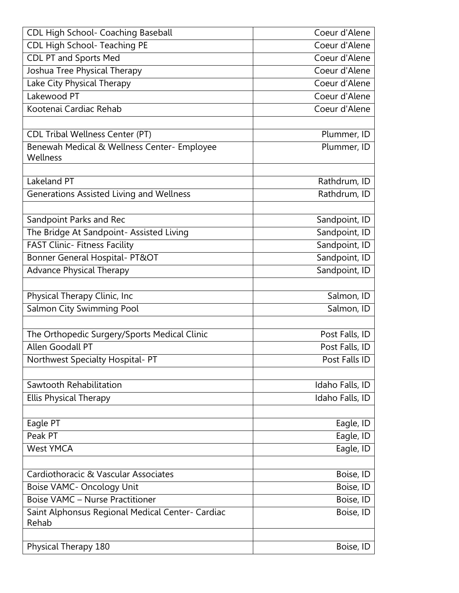| CDL High School- Coaching Baseball                      | Coeur d'Alene   |
|---------------------------------------------------------|-----------------|
| CDL High School- Teaching PE                            | Coeur d'Alene   |
| <b>CDL PT and Sports Med</b>                            | Coeur d'Alene   |
| Joshua Tree Physical Therapy                            | Coeur d'Alene   |
| Lake City Physical Therapy                              | Coeur d'Alene   |
| Lakewood PT                                             | Coeur d'Alene   |
| Kootenai Cardiac Rehab                                  | Coeur d'Alene   |
|                                                         |                 |
| <b>CDL Tribal Wellness Center (PT)</b>                  | Plummer, ID     |
| Benewah Medical & Wellness Center- Employee<br>Wellness | Plummer, ID     |
| Lakeland PT                                             | Rathdrum, ID    |
| Generations Assisted Living and Wellness                | Rathdrum, ID    |
|                                                         |                 |
| Sandpoint Parks and Rec                                 | Sandpoint, ID   |
| The Bridge At Sandpoint- Assisted Living                | Sandpoint, ID   |
| <b>FAST Clinic- Fitness Facility</b>                    | Sandpoint, ID   |
| Bonner General Hospital- PT&OT                          | Sandpoint, ID   |
| <b>Advance Physical Therapy</b>                         | Sandpoint, ID   |
|                                                         |                 |
| Physical Therapy Clinic, Inc                            | Salmon, ID      |
| Salmon City Swimming Pool                               | Salmon, ID      |
|                                                         |                 |
| The Orthopedic Surgery/Sports Medical Clinic            | Post Falls, ID  |
| Allen Goodall PT                                        | Post Falls, ID  |
| Northwest Specialty Hospital- PT                        | Post Falls ID   |
|                                                         |                 |
| Sawtooth Rehabilitation                                 | Idaho Falls, ID |
| <b>Ellis Physical Therapy</b>                           | Idaho Falls, ID |
|                                                         |                 |
| Eagle PT                                                | Eagle, ID       |
| Peak PT                                                 | Eagle, ID       |
| <b>West YMCA</b>                                        | Eagle, ID       |
| Cardiothoracic & Vascular Associates                    | Boise, ID       |
| <b>Boise VAMC- Oncology Unit</b>                        | Boise, ID       |
| <b>Boise VAMC - Nurse Practitioner</b>                  | Boise, ID       |
| Saint Alphonsus Regional Medical Center- Cardiac        | Boise, ID       |
| Rehab                                                   |                 |
|                                                         |                 |
| Physical Therapy 180                                    | Boise, ID       |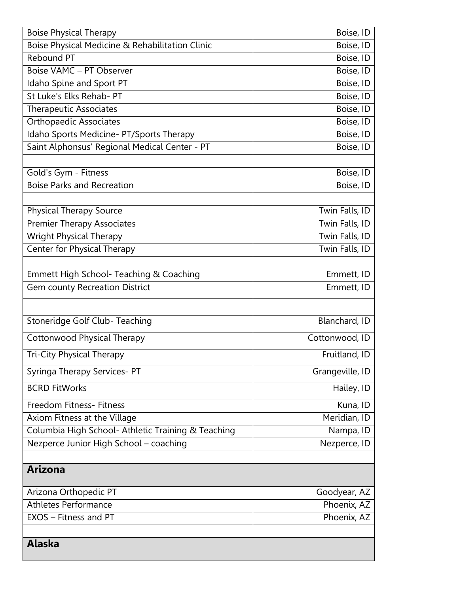| <b>Boise Physical Therapy</b>                      | Boise, ID       |
|----------------------------------------------------|-----------------|
| Boise Physical Medicine & Rehabilitation Clinic    | Boise, ID       |
| <b>Rebound PT</b>                                  | Boise, ID       |
| <b>Boise VAMC - PT Observer</b>                    | Boise, ID       |
| Idaho Spine and Sport PT                           | Boise, ID       |
| St Luke's Elks Rehab- PT                           | Boise, ID       |
| Therapeutic Associates                             | Boise, ID       |
| <b>Orthopaedic Associates</b>                      | Boise, ID       |
| Idaho Sports Medicine- PT/Sports Therapy           | Boise, ID       |
| Saint Alphonsus' Regional Medical Center - PT      | Boise, ID       |
|                                                    |                 |
| Gold's Gym - Fitness                               | Boise, ID       |
| <b>Boise Parks and Recreation</b>                  | Boise, ID       |
|                                                    |                 |
| <b>Physical Therapy Source</b>                     | Twin Falls, ID  |
| <b>Premier Therapy Associates</b>                  | Twin Falls, ID  |
| <b>Wright Physical Therapy</b>                     | Twin Falls, ID  |
| Center for Physical Therapy                        | Twin Falls, ID  |
|                                                    |                 |
| Emmett High School- Teaching & Coaching            | Emmett, ID      |
| <b>Gem county Recreation District</b>              | Emmett, ID      |
|                                                    |                 |
| Stoneridge Golf Club-Teaching                      | Blanchard, ID   |
|                                                    |                 |
| Cottonwood Physical Therapy                        | Cottonwood, ID  |
| <b>Tri-City Physical Therapy</b>                   | Fruitland, ID   |
| Syringa Therapy Services- PT                       | Grangeville, ID |
| <b>BCRD FitWorks</b>                               | Hailey, ID      |
| Freedom Fitness- Fitness                           | Kuna, ID        |
| Axiom Fitness at the Village                       | Meridian, ID    |
| Columbia High School- Athletic Training & Teaching | Nampa, ID       |
| Nezperce Junior High School - coaching             | Nezperce, ID    |
|                                                    |                 |
| <b>Arizona</b>                                     |                 |
| Arizona Orthopedic PT                              | Goodyear, AZ    |
| <b>Athletes Performance</b>                        | Phoenix, AZ     |
| EXOS - Fitness and PT                              | Phoenix, AZ     |
|                                                    |                 |
| <b>Alaska</b>                                      |                 |
|                                                    |                 |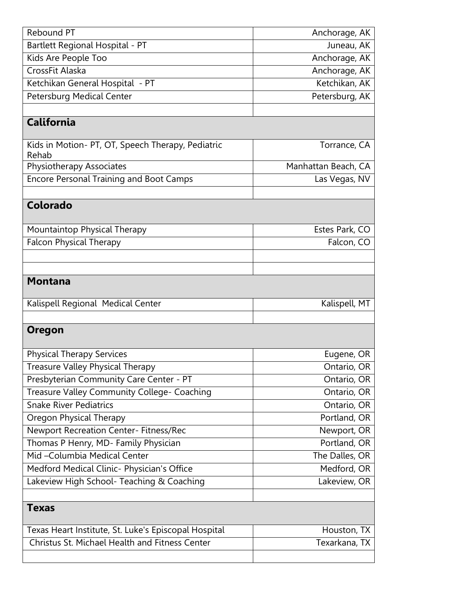| Rebound PT                                                 | Anchorage, AK       |
|------------------------------------------------------------|---------------------|
| Bartlett Regional Hospital - PT                            | Juneau, AK          |
| Kids Are People Too                                        | Anchorage, AK       |
| CrossFit Alaska                                            | Anchorage, AK       |
| Ketchikan General Hospital - PT                            | Ketchikan, AK       |
| Petersburg Medical Center                                  | Petersburg, AK      |
|                                                            |                     |
| <b>California</b>                                          |                     |
| Kids in Motion- PT, OT, Speech Therapy, Pediatric<br>Rehab | Torrance, CA        |
| Physiotherapy Associates                                   | Manhattan Beach, CA |
| <b>Encore Personal Training and Boot Camps</b>             | Las Vegas, NV       |
|                                                            |                     |
| Colorado                                                   |                     |
| Mountaintop Physical Therapy                               | Estes Park, CO      |
| <b>Falcon Physical Therapy</b>                             | Falcon, CO          |
|                                                            |                     |
|                                                            |                     |
| <b>Montana</b>                                             |                     |
| Kalispell Regional Medical Center                          | Kalispell, MT       |
|                                                            |                     |
| <b>Oregon</b>                                              |                     |
| <b>Physical Therapy Services</b>                           | Eugene, OR          |
| <b>Treasure Valley Physical Therapy</b>                    | Ontario, OR         |
| Presbyterian Community Care Center - PT                    | Ontario, OR         |
| Treasure Valley Community College- Coaching                | Ontario, OR         |
| <b>Snake River Pediatrics</b>                              | Ontario, OR         |
| <b>Oregon Physical Therapy</b>                             | Portland, OR        |
| Newport Recreation Center- Fitness/Rec                     | Newport, OR         |
| Thomas P Henry, MD- Family Physician                       | Portland, OR        |
| Mid-Columbia Medical Center                                | The Dalles, OR      |
| Medford Medical Clinic- Physician's Office                 | Medford, OR         |
| Lakeview High School- Teaching & Coaching                  | Lakeview, OR        |
|                                                            |                     |
| <b>Texas</b>                                               |                     |
| Texas Heart Institute, St. Luke's Episcopal Hospital       | Houston, TX         |
| Christus St. Michael Health and Fitness Center             | Texarkana, TX       |
|                                                            |                     |